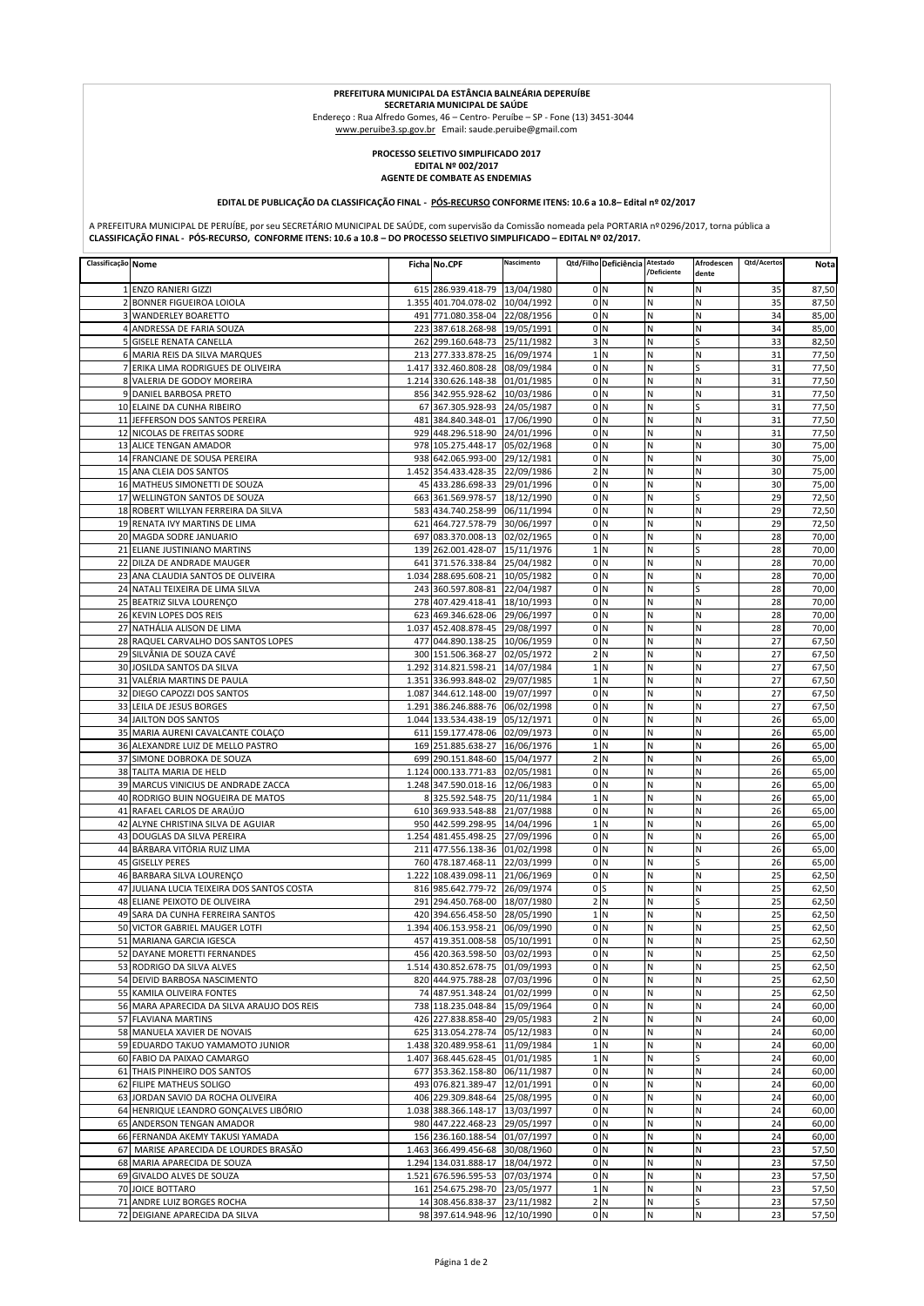## **PREFEITURA MUNICIPAL DA ESTÂNCIA BALNEÁRIA DEPERUÍBE**

**SECRETARIA MUNICIPAL DE SAÚDE<br>Endereço : Rua Alfredo Gomes, 46 – Centro- Peruíbe – SP - Fone (13) 3451-3044<br><u>www.peruibe3.sp.gov.br</u> Email: saude.peruibe@gmail.com** 

## **PROCESSO SELETIVO SIMPLIFICADO 2017**

**EDITAL Nº 002/2017 AGENTE DE COMBATE AS ENDEMIAS**

## **EDITAL DE PUBLICAÇÃO DA CLASSIFICAÇÃO FINAL - PÓS-RECURSO CONFORME ITENS: 10.6 a 10.8– Edital nº 02/2017**

A PREFEITURA MUNICIPAL DE PERUÍBE, por seu SECRETÁRIO MUNICIPAL DE SAÚDE, com supervisão da Comissão nomeada pela PORTARIA nº 0296/2017, torna pública a **CLASSIFICAÇÃO FINAL - PÓS-RECURSO, CONFORME ITENS: 10.6 a 10.8 – DO PROCESSO SELETIVO SIMPLIFICADO – EDITAL Nº 02/2017.**

| Classificação Nome |                                                                 | Ficha No.CPF                                                       | Nascimento | Qtd/Filho Deficiência            | Atestado<br>/Deficiente | Afrodescen<br>dente | Qtd/Acertos | Nota           |
|--------------------|-----------------------------------------------------------------|--------------------------------------------------------------------|------------|----------------------------------|-------------------------|---------------------|-------------|----------------|
|                    | 1 ENZO RANIERI GIZZI                                            | 615 286.939.418-79 13/04/1980                                      |            | 0 <sub>N</sub>                   | N                       | Ν                   | 35          | 87,50          |
|                    | 2 BONNER FIGUEIROA LOIOLA                                       | 1.355 401.704.078-02 10/04/1992                                    |            | 0 <sub>N</sub>                   | N                       | N                   | 35          | 87,50          |
|                    | <b>3 WANDERLEY BOARETTO</b>                                     | 491 771.080.358-04 22/08/1956                                      |            | 0 <sup>1</sup> N                 | N                       | Ν                   | 34          | 85,00          |
|                    | 4 ANDRESSA DE FARIA SOUZA                                       | 223 387.618.268-98 19/05/1991                                      |            | 0 <sub>N</sub>                   | N                       | N                   | 34          | 85,00          |
|                    | 5 GISELE RENATA CANELLA                                         | 262 299.160.648-73 25/11/1982                                      |            | 3 <sub>N</sub>                   | N                       | S                   | 33          | 82,50          |
|                    | 6 MARIA REIS DA SILVA MARQUES                                   | 213 277.333.878-25 16/09/1974                                      |            | 1 <sub>N</sub>                   | N                       | N                   | 31          | 77,50          |
|                    | 7 ERIKA LIMA RODRIGUES DE OLIVEIRA                              | 1.417 332.460.808-28 08/09/1984                                    |            | 0 <sub>N</sub>                   | N                       | S                   | 31          | 77,50          |
|                    | 8 VALERIA DE GODOY MOREIRA                                      | 1.214 330.626.148-38 01/01/1985                                    |            | 0 <sub>N</sub>                   | N                       | Ν                   | 31          | 77,50          |
|                    | 9 DANIEL BARBOSA PRETO<br>10 ELAINE DA CUNHA RIBEIRO            | 856 342.955.928-62 10/03/1986<br>67 367.305.928-93 24/05/1987      |            | 0 <sub>N</sub><br>0 <sub>N</sub> | N<br>Ν                  | Ν<br>S              | 31<br>31    | 77,50<br>77,50 |
|                    | 11 JEFFERSON DOS SANTOS PEREIRA                                 | 481 384.840.348-01 17/06/1990                                      |            | 0 <sub>N</sub>                   | N                       | N                   | 31          | 77,50          |
|                    | 12 NICOLAS DE FREITAS SODRE                                     | 929 448.296.518-90 24/01/1996                                      |            | 0 <sub>N</sub>                   | N                       | N                   | 31          | 77,50          |
|                    | 13 ALICE TENGAN AMADOR                                          | 978 105.275.448-17 05/02/1968                                      |            | 0 <sub>N</sub>                   | N                       | N                   | 30          | 75,00          |
|                    | 14 FRANCIANE DE SOUSA PEREIRA                                   | 938 642.065.993-00 29/12/1981                                      |            | 0 <sub>N</sub>                   | N                       | N                   | 30          | 75,00          |
|                    | 15 ANA CLEIA DOS SANTOS                                         | 1.452 354.433.428-35 22/09/1986                                    |            | 2 N                              | N                       | N                   | 30          | 75,00          |
|                    | 16 MATHEUS SIMONETTI DE SOUZA                                   | 45 433.286.698-33 29/01/1996                                       |            | 0 <sub>N</sub>                   | N                       | N                   | 30          | 75,00          |
|                    | 17 WELLINGTON SANTOS DE SOUZA                                   | 663 361.569.978-57 18/12/1990                                      |            | 0 <sub>N</sub>                   | N                       | S                   | 29          | 72,50          |
|                    | 18 ROBERT WILLYAN FERREIRA DA SILVA                             | 583 434.740.258-99 06/11/1994                                      |            | 0 <sub>N</sub>                   | N                       | N                   | 29          | 72,50          |
|                    | 19 RENATA IVY MARTINS DE LIMA                                   | 621 464.727.578-79 30/06/1997                                      |            | 0 <sub>N</sub>                   | N                       | Ν                   | 29          | 72,50          |
|                    | 20 MAGDA SODRE JANUARIO                                         | 697 083.370.008-13 02/02/1965                                      |            | 0 <sub>N</sub>                   | Ν                       | Ν                   | 28          | 70,00          |
|                    | 21 ELIANE JUSTINIANO MARTINS                                    | 139 262.001.428-07 15/11/1976                                      |            | 1 <sub>N</sub>                   | N                       |                     | 28          | 70,00          |
|                    | 22 DILZA DE ANDRADE MAUGER<br>23 ANA CLAUDIA SANTOS DE OLIVEIRA | 641 371.576.338-84 25/04/1982                                      |            | 0 <sub>N</sub>                   | N<br>N                  | N<br>N              | 28          | 70,00          |
|                    | 24 NATALI TEIXEIRA DE LIMA SILVA                                | 1.034 288.695.608-21 10/05/1982<br>243 360.597.808-81 22/04/1987   |            | 0 <sub>N</sub><br>0 <sub>N</sub> | N                       | S                   | 28<br>28    | 70,00<br>70,00 |
|                    | 25 BEATRIZ SILVA LOURENÇO                                       | 278 407.429.418-41 18/10/1993                                      |            | 0 <sub>N</sub>                   | N                       | N                   | 28          | 70,00          |
|                    | 26 KEVIN LOPES DOS REIS                                         | 623 469.346.628-06 29/06/1997                                      |            | 0 <sub>N</sub>                   | N                       | N                   | 28          | 70,00          |
|                    | 27 NATHÁLIA ALISON DE LIMA                                      | 1.037 452.408.878-45 29/08/1997                                    |            | 0 <sub>N</sub>                   | Ν                       | N                   | 28          | 70,00          |
|                    | 28 RAQUEL CARVALHO DOS SANTOS LOPES                             | 477 044.890.138-25 10/06/1959                                      |            | 0 <sub>N</sub>                   | N                       | N                   | 27          | 67,50          |
|                    | 29 SILVÂNIA DE SOUZA CAVÉ                                       | 300 151.506.368-27 02/05/1972                                      |            | 2N                               | N                       | Ν                   | 27          | 67,50          |
|                    | 30 JOSILDA SANTOS DA SILVA                                      | 1.292 314.821.598-21 14/07/1984                                    |            | 1 <sub>N</sub>                   | N                       | N                   | 27          | 67,50          |
|                    | 31 VALÉRIA MARTINS DE PAULA                                     | 1.351 336.993.848-02 29/07/1985                                    |            | 1 <sub>N</sub>                   | N                       | Ν                   | 27          | 67,50          |
|                    | 32 DIEGO CAPOZZI DOS SANTOS                                     | 1.087 344.612.148-00 19/07/1997                                    |            | 0 <sub>N</sub>                   | Ν                       | Ν                   | 27          | 67,50          |
|                    | 33 LEILA DE JESUS BORGES                                        | 1.291 386.246.888-76 06/02/1998                                    |            | 0 <sub>N</sub>                   | N                       | N                   | 27          | 67,50          |
|                    | 34 JAILTON DOS SANTOS                                           | 1.044 133.534.438-19 05/12/1971                                    |            | 0 <sub>N</sub>                   | N                       | Ν                   | 26          | 65,00          |
|                    | 35 MARIA AURENI CAVALCANTE COLAÇO                               | 611 159.177.478-06 02/09/1973                                      |            | 0 <sub>N</sub>                   | N                       | N                   | 26          | 65,00          |
|                    | 36 ALEXANDRE LUIZ DE MELLO PASTRO                               | 169 251.885.638-27 16/06/1976                                      |            | 1 <sub>N</sub>                   | N                       | N                   | 26          | 65,00          |
|                    | 37 SIMONE DOBROKA DE SOUZA                                      | 699 290.151.848-60 15/04/1977                                      |            | 2N                               | Ν                       | N                   | 26          | 65,00          |
|                    | 38 TALITA MARIA DE HELD<br>39 MARCUS VINICIUS DE ANDRADE ZACCA  | 1.124 000.133.771-83 02/05/1981<br>1.248 347.590.018-16 12/06/1983 |            | 0 <sub>N</sub><br>0 <sub>N</sub> | N<br>N                  | N<br>Ν              | 26<br>26    | 65,00<br>65,00 |
|                    | 40 RODRIGO BUIN NOGUEIRA DE MATOS                               | 8 325.592.548-75 20/11/1984                                        |            | 1 <sub>N</sub>                   | N                       | N                   | 26          | 65,00          |
|                    | 41 RAFAEL CARLOS DE ARAÚJO                                      | 610 369.933.548-88 21/07/1988                                      |            | 0 <sub>N</sub>                   | N                       | Ν                   | 26          | 65,00          |
|                    | 42 ALYNE CHRISTINA SILVA DE AGUIAR                              | 950 442.599.298-95 14/04/1996                                      |            | 1 <sub>N</sub>                   | N                       | N                   | 26          | 65,00          |
|                    | 43 DOUGLAS DA SILVA PEREIRA                                     | 1.254 481.455.498-25 27/09/1996                                    |            | 0 <sub>N</sub>                   | N                       | Ν                   | 26          | 65,00          |
|                    | 44 BÁRBARA VITÓRIA RUIZ LIMA                                    | 211 477.556.138-36 01/02/1998                                      |            | 0 <sub>N</sub>                   | N                       | N                   | 26          | 65,00          |
|                    | 45 GISELLY PERES                                                | 760 478.187.468-11 22/03/1999                                      |            | 0 <sub>N</sub>                   | N                       | S                   | 26          | 65,00          |
|                    | 46 BARBARA SILVA LOURENÇO                                       | 1.222 108.439.098-11 21/06/1969                                    |            | 0 <sub>N</sub>                   | N                       | N                   | 25          | 62,50          |
|                    | 47 JULIANA LUCIA TEIXEIRA DOS SANTOS COSTA                      | 816 985.642.779-72 26/09/1974                                      |            | 0 <sub>s</sub>                   | N                       | N                   | 25          | 62,50          |
|                    | 48 ELIANE PEIXOTO DE OLIVEIRA                                   | 291 294.450.768-00 18/07/1980                                      |            | 2 N                              | N                       | S                   | 25          | 62,50          |
|                    | 49 SARA DA CUNHA FERREIRA SANTOS                                | 420 394.656.458-50 28/05/1990                                      |            | 1 <sub>N</sub>                   | N                       | Ν                   | 25          | 62,50          |
|                    | 50 VICTOR GABRIEL MAUGER LOTFI<br>51 MARIANA GARCIA IGESCA      | 1.394 406.153.958-21 06/09/1990                                    |            | 0 <sub>N</sub><br>0 <sub>N</sub> | Ν<br>N                  | N                   | 25<br>25    | 62,50<br>62,50 |
|                    | 52 DAYANE MORETTI FERNANDES                                     | 457 419.351.008-58 05/10/1991<br>456 420.363.598-50 03/02/1993     |            |                                  | Ν                       | Ν<br>Ν              | 25          | 62,50          |
|                    | 53 RODRIGO DA SILVA ALVES                                       | 1.514 430.852.678-75 01/09/1993                                    |            | 0 N<br>0 <sub>N</sub>            | N                       | Ν                   | 25          | 62,50          |
|                    | 54 DEIVID BARBOSA NASCIMENTO                                    | 820 444.975.788-28 07/03/1996                                      |            | 0 <sub>N</sub>                   | N                       | Ν                   | 25          | 62,50          |
|                    | 55 KAMILA OLIVEIRA FONTES                                       | 74 487.951.348-24 01/02/1999                                       |            | 0 <sub>N</sub>                   | N                       | N                   | 25          | 62,50          |
|                    | 56 MARA APARECIDA DA SILVA ARAUJO DOS REIS                      | 738 118.235.048-84 15/09/1964                                      |            | 0 <sub>N</sub>                   | N                       | Ν                   | 24          | 60,00          |
|                    | 57 FLAVIANA MARTINS                                             | 426 227.838.858-40 29/05/1983                                      |            | 2N                               | N                       | N                   | 24          | 60,00          |
|                    | 58 MANUELA XAVIER DE NOVAIS                                     | 625 313.054.278-74 05/12/1983                                      |            | 0 <sub>N</sub>                   | N                       | N                   | 24          | 60,00          |
|                    | 59 EDUARDO TAKUO YAMAMOTO JUNIOR                                | 1.438 320.489.958-61 11/09/1984                                    |            | 1 <sub>N</sub>                   | N                       | N                   | 24          | 60,00          |
|                    | 60 FABIO DA PAIXAO CAMARGO                                      | 1.407 368.445.628-45 01/01/1985                                    |            | 1 <sub>N</sub>                   | N                       | S                   | 24          | 60,00          |
|                    | 61 THAIS PINHEIRO DOS SANTOS                                    | 677 353.362.158-80 06/11/1987                                      |            | 0 <sub>N</sub>                   | N                       | Ν                   | 24          | 60,00          |
|                    | 62 FILIPE MATHEUS SOLIGO                                        | 493 076.821.389-47 12/01/1991                                      |            | 0 <sub>N</sub>                   | Ν                       | Ν                   | 24          | 60,00          |
|                    | 63 JORDAN SAVIO DA ROCHA OLIVEIRA                               | 406 229.309.848-64 25/08/1995                                      |            | 0 <sub>N</sub>                   | N                       | Ν                   | 24          | 60,00          |
|                    | 64 HENRIQUE LEANDRO GONÇALVES LIBÓRIO                           | 1.038 388.366.148-17 13/03/1997                                    |            | 0 <sub>N</sub>                   | N                       | Ν                   | 24          | 60,00          |
|                    | 65 ANDERSON TENGAN AMADOR                                       | 980 447.222.468-23 29/05/1997                                      |            | 0 <sub>N</sub>                   | N                       | N                   | 24          | 60,00          |
|                    | 66 FERNANDA AKEMY TAKUSI YAMADA                                 | 156 236.160.188-54 01/07/1997                                      |            | 0 <sub>N</sub>                   | N                       | Ν                   | 24          | 60,00          |
|                    | 67 MARISE APARECIDA DE LOURDES BRASÃO                           | 1.463 366.499.456-68 30/08/1960                                    |            | 0 <sub>N</sub>                   | Ν                       | N                   | 23          | 57,50          |
|                    | 68 MARIA APARECIDA DE SOUZA                                     | 1.294 134.031.888-17 18/04/1972                                    |            | 0 <sub>N</sub><br>0 <sub>N</sub> | N                       | N                   | 23          | 57,50          |
|                    | 69 GIVALDO ALVES DE SOUZA<br>70 JOICE BOTTARO                   | 1.521 676.596.595-53 07/03/1974<br>161 254.675.298-70 23/05/1977   |            | 1 <sub>N</sub>                   | N<br>N                  | N<br>N              | 23<br>23    | 57,50<br>57,50 |
|                    | 71 ANDRE LUIZ BORGES ROCHA                                      | 14 308.456.838-37 23/11/1982                                       |            | 2N                               | N                       | S                   | 23          | 57,50          |
|                    | 72 DEIGIANE APARECIDA DA SILVA                                  | 98 397.614.948-96 12/10/1990                                       |            | 0 N                              | Ν                       | Ν                   | 23          | 57,50          |